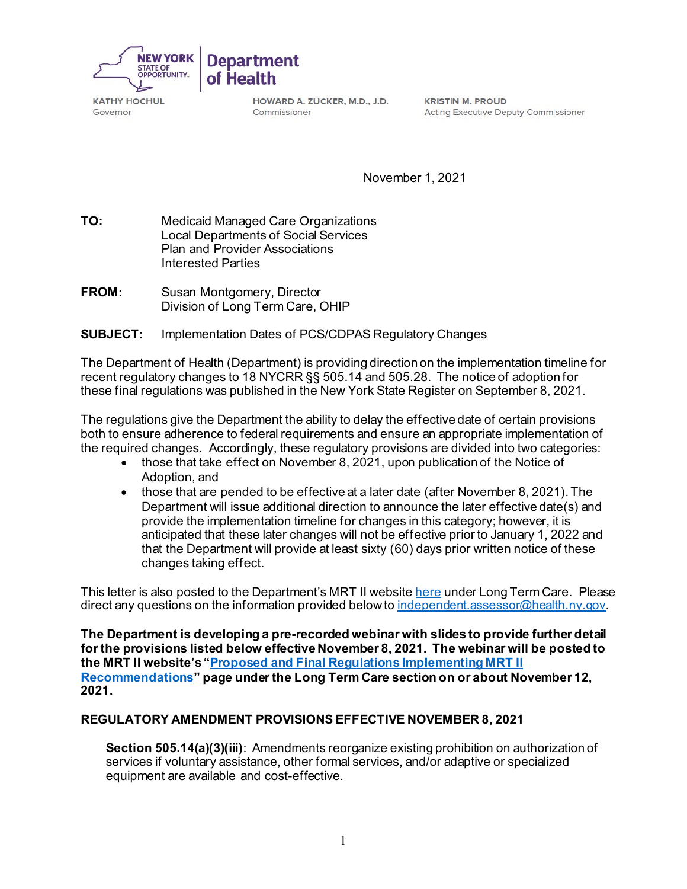

KATHY HOCHUL Governor

HOWARD A. ZUCKER, M.D., J.D. Commissioner

KRISTIN M. PROUD Acting Executive Deputy Commissioner

November 1, 2021

TO: **TO:** Medicaid Managed Care Organizations Local Departments of Social Services Plan and Provider Associations Interested Parties

FROM: **Susan Montgomery, Director** Division of Long Term Care, OHIP

## **SUBJECT:** Implementation Dates of PCS/CDPAS Regulatory Changes

The Department of Health (Department) is providing direction on the implementation timeline for recent regulatory changes to 18 NYCRR §§ 505.14 and 505.28. The notice of adoption for these final regulations was published in the New York State Register on September 8, 2021.

 the required changes. Accordingly, these regulatory provisions are divided into two categories: The regulations give the Department the ability to delay the effective date of certain provisions both to ensure adherence to federal requirements and ensure an appropriate implementation of

- • those that take effect on November 8, 2021, upon publication of the Notice of Adoption, and
- $\bullet$  that the Department will provide at least sixty (60) days prior written notice of these • those that are pended to be effective at a later date (after November 8, 2021). The Department will issue additional direction to announce the later effective date(s) and provide the implementation timeline for changes in this category; however, it is anticipated that these later changes will not be effective prior to January 1, 2022 and changes taking effect.

This letter is also posted to the Department's MRT II websit[e here](https://www.health.ny.gov/health_care/medicaid/redesign/mrt2/recommends/index.htm) under Long Term Care. Please direct any questions on the information provided below to independent assessor@health.ny.gov.

**The Department is developing a pre-recorded webinar with slides to provide further detail for the provisions listed below effective November 8, 2021. The webinar will be posted to the MRT II website's ["Proposed and Final Regulations Implementing MRT II](https://www.health.ny.gov/health_care/medicaid/redesign/mrt2/recommends/index.htm)  [Recommendations"](https://www.health.ny.gov/health_care/medicaid/redesign/mrt2/recommends/index.htm) page under the Long Term Care section on or about November 12, 2021.** 

## **REGULATORY AMENDMENT PROVISIONS EFFECTIVE NOVEMBER 8, 2021**

 **Section 505.14(a)(3)(iii)**: Amendments reorganize existing prohibition on authorization of services if voluntary assistance, other formal services, and/or adaptive or specialized equipment are available and cost-effective.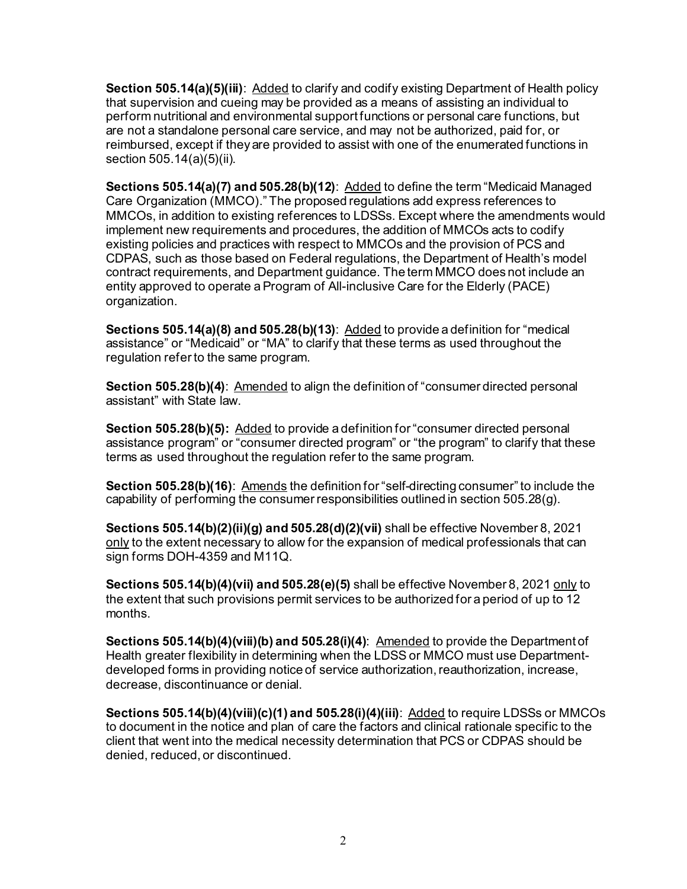that supervision and cueing may be provided as a means of assisting an individual to **Section 505.14(a)(5)(iii)**: Added to clarify and codify existing Department of Health policy perform nutritional and environmental support functions or personal care functions, but are not a standalone personal care service, and may not be authorized, paid for, or reimbursed, except if they are provided to assist with one of the enumerated functions in section 505.14(a)(5)(ii).

 CDPAS, such as those based on Federal regulations, the Department of Health's model **Sections 505.14(a)(7) and 505.28(b)(12)**: Added to define the term "Medicaid Managed Care Organization (MMCO)." The proposed regulations add express references to MMCOs, in addition to existing references to LDSSs. Except where the amendments would implement new requirements and procedures, the addition of MMCOs acts to codify existing policies and practices with respect to MMCOs and the provision of PCS and contract requirements, and Department guidance. The term MMCO does not include an entity approved to operate a Program of All-inclusive Care for the Elderly (PACE) organization.

**Sections 505.14(a)(8) and 505.28(b)(13)**: Added to provide a definition for "medical assistance" or "Medicaid" or "MA" to clarify that these terms as used throughout the regulation refer to the same program.

**Section 505.28(b)(4)**: Amended to align the definition of "consumer directed personal assistant" with State law.

**Section 505.28(b)(5):** Added to provide a definition for "consumer directed personal assistance program" or "consumer directed program" or "the program" to clarify that these terms as used throughout the regulation refer to the same program.

**Section 505.28(b)(16)**: Amends the definition for "self-directing consumer" to include the capability of performing the consumer responsibilities outlined in section 505.28(g).

 sign forms DOH-4359 and M11Q. **Sections 505.14(b)(2)(ii)(g) and 505.28(d)(2)(vii)** shall be effective November 8, 2021 only to the extent necessary to allow for the expansion of medical professionals that can

**Sections 505.14(b)(4)(vii) and 505.28(e)(5)** shall be effective November 8, 2021 only to the extent that such provisions permit services to be authorized for a period of up to 12 months.

**Sections 505.14(b)(4)(viii)(b) and 505.28(i)(4):** Amended to provide the Department of Health greater flexibility in determining when the LDSS or MMCO must use Departmentdeveloped forms in providing notice of service authorization, reauthorization, increase, decrease, discontinuance or denial.

**Sections 505.14(b)(4)(viii)(c)(1) and 505.28(i)(4)(iii)**: Added to require LDSSs or MMCOs to document in the notice and plan of care the factors and clinical rationale specific to the client that went into the medical necessity determination that PCS or CDPAS should be denied, reduced, or discontinued.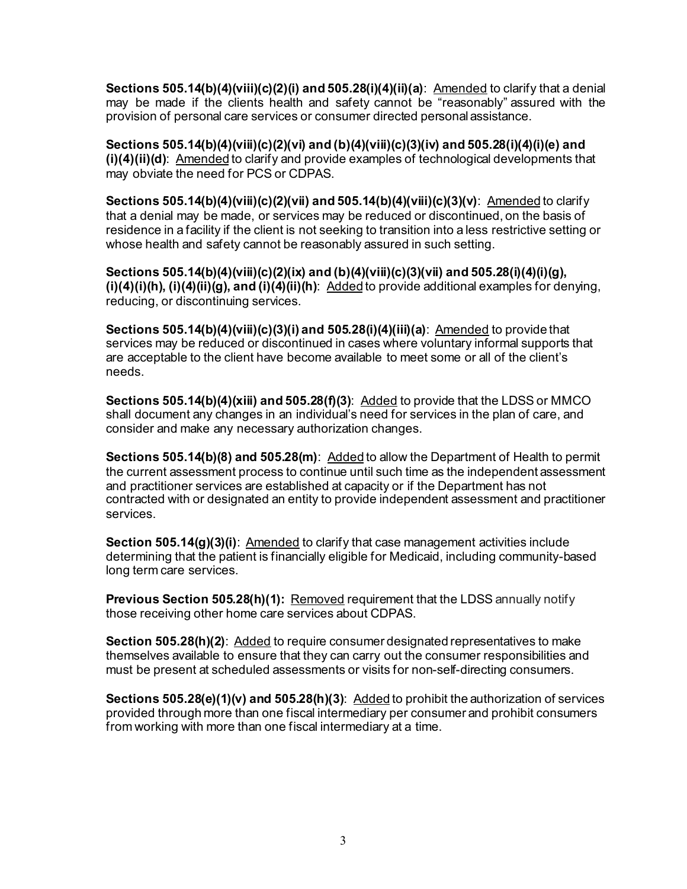**Sections 505.14(b)(4)(viii)(c)(2)(i) and 505.28(i)(4)(ii)(a)**: Amended to clarify that a denial may be made if the clients health and safety cannot be "reasonably" assured with the provision of personal care services or consumer directed personal assistance.

**Sections 505.14(b)(4)(viii)(c)(2)(vi) and (b)(4)(viii)(c)(3)(iv) and 505.28(i)(4)(i)(e) and (i)(4)(ii)(d)**: Amended to clarify and provide examples of technological developments that may obviate the need for PCS or CDPAS.

 whose health and safety cannot be reasonably assured in such setting. **Sections 505.14(b)(4)(viii)(c)(2)(vii) and 505.14(b)(4)(viii)(c)(3)(v)**: Amended to clarify that a denial may be made, or services may be reduced or discontinued, on the basis of residence in a facility if the client is not seeking to transition into a less restrictive setting or

**Sections 505.14(b)(4)(viii)(c)(2)(ix) and (b)(4)(viii)(c)(3)(vii) and 505.28(i)(4)(i)(g), (i)(4)(i)(h), (i)(4)(ii)(g), and (i)(4)(ii)(h)**: Added to provide additional examples for denying, reducing, or discontinuing services.

**Sections 505.14(b)(4)(viii)(c)(3)(i) and 505.28(i)(4)(iii)(a)**: Amended to provide that services may be reduced or discontinued in cases where voluntary informal supports that are acceptable to the client have become available to meet some or all of the client's needs.

**Sections 505.14(b)(4)(xiii) and 505.28(f)(3)**: Added to provide that the LDSS or MMCO shall document any changes in an individual's need for services in the plan of care, and consider and make any necessary authorization changes.

**Sections 505.14(b)(8) and 505.28(m)**: Added to allow the Department of Health to permit the current assessment process to continue until such time as the independent assessment and practitioner services are established at capacity or if the Department has not contracted with or designated an entity to provide independent assessment and practitioner services.

**Section 505.14(g)(3)(i):** Amended to clarify that case management activities include determining that the patient is financially eligible for Medicaid, including community-based long term care services.

**Previous Section 505.28(h)(1): Removed requirement that the LDSS annually notify** those receiving other home care services about CDPAS.

**Section 505.28(h)(2):** Added to require consumer designated representatives to make themselves available to ensure that they can carry out the consumer responsibilities and must be present at scheduled assessments or visits for non-self-directing consumers.

**Sections 505.28(e)(1)(v) and 505.28(h)(3)**: Added to prohibit the authorization of services provided through more than one fiscal intermediary per consumer and prohibit consumers from working with more than one fiscal intermediary at a time.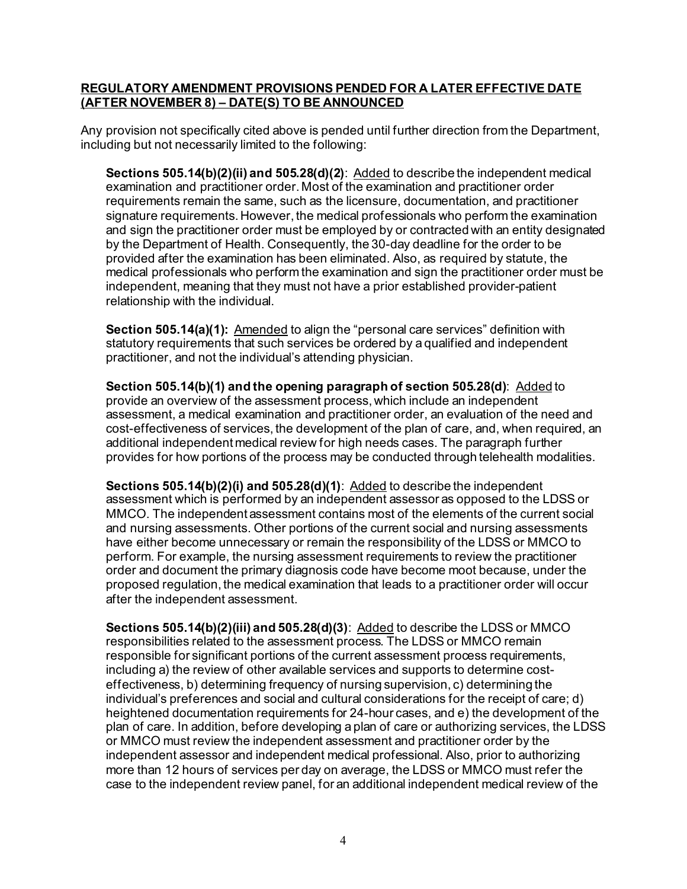## **(AFTER NOVEMBER 8) – DATE(S) TO BE ANNOUNCED REGULATORY AMENDMENT PROVISIONS PENDED FOR A LATER EFFECTIVE DATE**

Any provision not specifically cited above is pended until further direction from the Department, including but not necessarily limited to the following:

**Sections 505.14(b)(2)(ii) and 505.28(d)(2)**: Added to describe the independent medical examination and practitioner order. Most of the examination and practitioner order requirements remain the same, such as the licensure, documentation, and practitioner signature requirements. However, the medical professionals who perform the examination and sign the practitioner order must be employed by or contracted with an entity designated by the Department of Health. Consequently, the 30-day deadline for the order to be provided after the examination has been eliminated. Also, as required by statute, the medical professionals who perform the examination and sign the practitioner order must be independent, meaning that they must not have a prior established provider-patient relationship with the individual.

**Section 505.14(a)(1):** Amended to align the "personal care services" definition with statutory requirements that such services be ordered by a qualified and independent practitioner, and not the individual's attending physician.

 assessment, a medical examination and practitioner order, an evaluation of the need and **Section 505.14(b)(1) and the opening paragraph of section 505.28(d)**: Added to provide an overview of the assessment process, which include an independent cost-effectiveness of services, the development of the plan of care, and, when required, an additional independent medical review for high needs cases. The paragraph further provides for how portions of the process may be conducted through telehealth modalities.

 **Sections 505.14(b)(2)(i) and 505.28(d)(1)**: Added to describe the independent proposed regulation, the medical examination that leads to a practitioner order will occur assessment which is performed by an independent assessor as opposed to the LDSS or MMCO. The independent assessment contains most of the elements of the current social and nursing assessments. Other portions of the current social and nursing assessments have either become unnecessary or remain the responsibility of the LDSS or MMCO to perform. For example, the nursing assessment requirements to review the practitioner order and document the primary diagnosis code have become moot because, under the after the independent assessment.

**Sections 505.14(b)(2)(iii) and 505.28(d)(3)**: Added to describe the LDSS or MMCO responsibilities related to the assessment process. The LDSS or MMCO remain responsible for significant portions of the current assessment process requirements, including a) the review of other available services and supports to determine costeffectiveness, b) determining frequency of nursing supervision, c) determining the individual's preferences and social and cultural considerations for the receipt of care; d) heightened documentation requirements for 24-hour cases, and e) the development of the plan of care. In addition, before developing a plan of care or authorizing services, the LDSS or MMCO must review the independent assessment and practitioner order by the independent assessor and independent medical professional. Also, prior to authorizing more than 12 hours of services per day on average, the LDSS or MMCO must refer the case to the independent review panel, for an additional independent medical review of the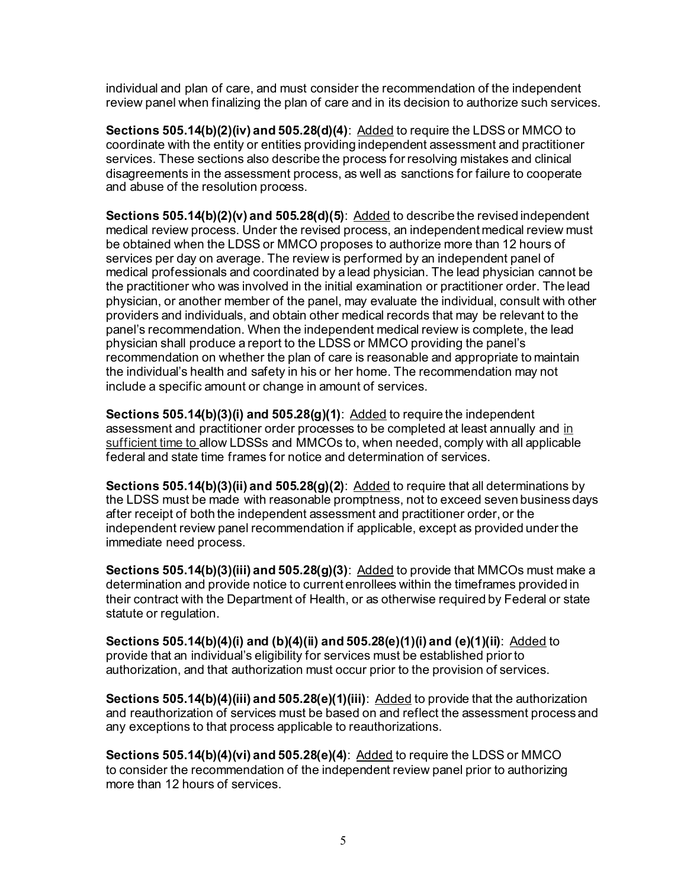individual and plan of care, and must consider the recommendation of the independent review panel when finalizing the plan of care and in its decision to authorize such services.

**Sections 505.14(b)(2)(iv) and 505.28(d)(4)**: Added to require the LDSS or MMCO to coordinate with the entity or entities providing independent assessment and practitioner services. These sections also describe the process for resolving mistakes and clinical disagreements in the assessment process, as well as sanctions for failure to cooperate and abuse of the resolution process.

 recommendation on whether the plan of care is reasonable and appropriate to maintain **Sections 505.14(b)(2)(v) and 505.28(d)(5)**: Added to describe the revised independent medical review process. Under the revised process, an independent medical review must be obtained when the LDSS or MMCO proposes to authorize more than 12 hours of services per day on average. The review is performed by an independent panel of medical professionals and coordinated by a lead physician. The lead physician cannot be the practitioner who was involved in the initial examination or practitioner order. The lead physician, or another member of the panel, may evaluate the individual, consult with other providers and individuals, and obtain other medical records that may be relevant to the panel's recommendation. When the independent medical review is complete, the lead physician shall produce a report to the LDSS or MMCO providing the panel's the individual's health and safety in his or her home. The recommendation may not include a specific amount or change in amount of services.

**Sections 505.14(b)(3)(i) and 505.28(g)(1)**: Added to require the independent assessment and practitioner order processes to be completed at least annually and in sufficient time to allow LDSSs and MMCOs to, when needed, comply with all applicable federal and state time frames for notice and determination of services.

 **Sections 505.14(b)(3)(ii) and 505.28(g)(2)**: Added to require that all determinations by the LDSS must be made with reasonable promptness, not to exceed seven business days after receipt of both the independent assessment and practitioner order, or the independent review panel recommendation if applicable, except as provided under the immediate need process.

**Sections 505.14(b)(3)(iii) and 505.28(g)(3)**: <u>Added</u> to provide that MMCOs must make a determination and provide notice to current enrollees within the timeframes provided in their contract with the Department of Health, or as otherwise required by Federal or state statute or regulation.

**Sections 505.14(b)(4)(i) and (b)(4)(ii) and 505.28(e)(1)(i) and (e)(1)(ii)**: Added to provide that an individual's eligibility for services must be established prior to authorization, and that authorization must occur prior to the provision of services.

**Sections 505.14(b)(4)(iii) and 505.28(e)(1)(iii)**: Added to provide that the authorization and reauthorization of services must be based on and reflect the assessment process and any exceptions to that process applicable to reauthorizations.

**Sections 505.14(b)(4)(vi) and 505.28(e)(4)**: Added to require the LDSS or MMCO to consider the recommendation of the independent review panel prior to authorizing more than 12 hours of services.